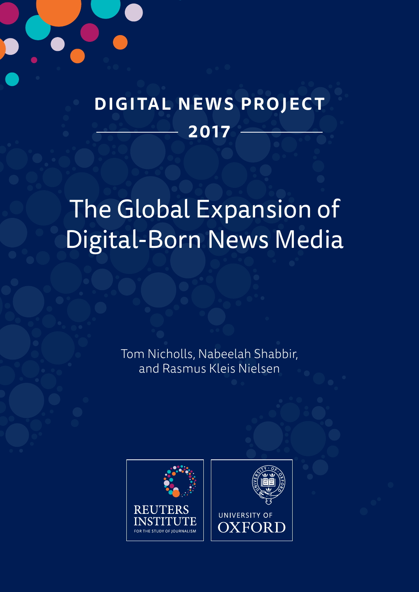

# **DIGITAL NEWS PROJECT 2017**

# The Global Expansion of Digital-Born News Media

Tom Nicholls, Nabeelah Shabbir, and Rasmus Kleis Nielsen

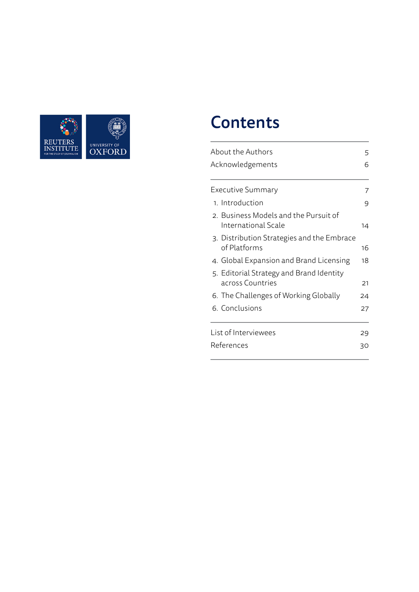

# **Contents**

| About the Authors                                                   |    |  |  |  |
|---------------------------------------------------------------------|----|--|--|--|
| Acknowledgements                                                    |    |  |  |  |
| Executive Summary                                                   | 7  |  |  |  |
| 1. Introduction                                                     | 9  |  |  |  |
| 2. Business Models and the Pursuit of<br><b>International Scale</b> | 14 |  |  |  |
| 3. Distribution Strategies and the Embrace<br>of Platforms          | 16 |  |  |  |
| 4. Global Expansion and Brand Licensing                             | 18 |  |  |  |
| 5. Editorial Strategy and Brand Identity<br>across Countries        | 21 |  |  |  |
| 6. The Challenges of Working Globally                               | 24 |  |  |  |
| 6. Conclusions                                                      | 27 |  |  |  |
| List of Interviewees                                                | 29 |  |  |  |
| References<br>30                                                    |    |  |  |  |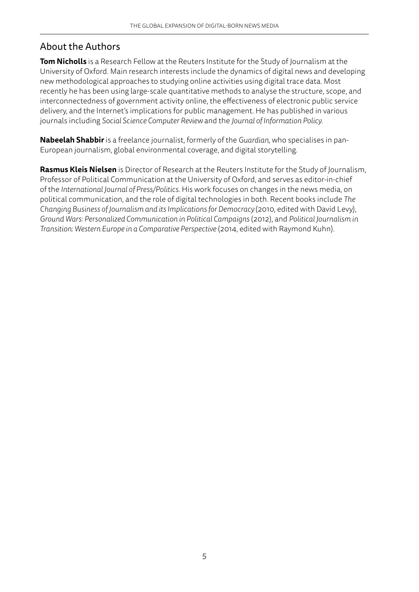### About the Authors

**Tom Nicholls** is a Research Fellow at the Reuters Institute for the Study of Journalism at the University of Oxford. Main research interests include the dynamics of digital news and developing new methodological approaches to studying online activities using digital trace data. Most recently he has been using large-scale quantitative methods to analyse the structure, scope, and interconnectedness of government activity online, the effectiveness of electronic public service delivery, and the Internet's implications for public management. He has published in various journals including *Social Science Computer Review* and the *Journal of Information Policy.*

**Nabeelah Shabbir** is a freelance journalist, formerly of the *Guardian*, who specialises in pan-European journalism, global environmental coverage, and digital storytelling.

**Rasmus Kleis Nielsen** is Director of Research at the Reuters Institute for the Study of Journalism, Professor of Political Communication at the University of Oxford, and serves as editor-in-chief of the *International Journal of Press/Politics*. His work focuses on changes in the news media, on political communication, and the role of digital technologies in both. Recent books include *The Changing Business of Journalism and its Implications for Democracy* (2010, edited with David Levy), *Ground Wars: Personalized Communication in Political Campaigns* (2012), and *Political Journalism in Transition: Western Europe in a Comparative Perspective* (2014, edited with Raymond Kuhn).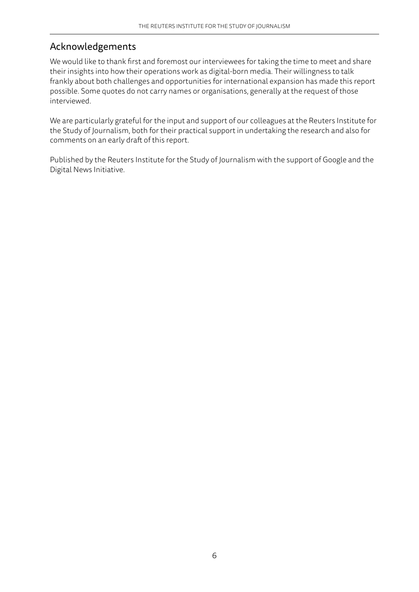### Acknowledgements

We would like to thank first and foremost our interviewees for taking the time to meet and share their insights into how their operations work as digital-born media. Their willingness to talk frankly about both challenges and opportunities for international expansion has made this report possible. Some quotes do not carry names or organisations, generally at the request of those interviewed.

We are particularly grateful for the input and support of our colleagues at the Reuters Institute for the Study of Journalism, both for their practical support in undertaking the research and also for comments on an early draft of this report.

Published by the Reuters Institute for the Study of Journalism with the support of Google and the Digital News Initiative.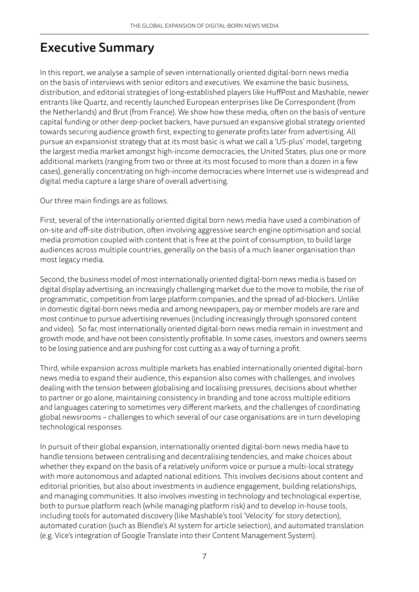## Executive Summary

In this report, we analyse a sample of seven internationally oriented digital-born news media on the basis of interviews with senior editors and executives. We examine the basic business, distribution, and editorial strategies of long-established players like HuffPost and Mashable, newer entrants like Quartz, and recently launched European enterprises like De Correspondent (from the Netherlands) and Brut (from France). We show how these media, often on the basis of venture capital funding or other deep-pocket backers, have pursued an expansive global strategy oriented towards securing audience growth first, expecting to generate profits later from advertising. All pursue an expansionist strategy that at its most basic is what we call a 'US-plus' model, targeting the largest media market amongst high-income democracies, the United States, plus one or more additional markets (ranging from two or three at its most focused to more than a dozen in a few cases), generally concentrating on high-income democracies where Internet use is widespread and digital media capture a large share of overall advertising.

Our three main findings are as follows.

First, several of the internationally oriented digital born news media have used a combination of on-site and off-site distribution, often involving aggressive search engine optimisation and social media promotion coupled with content that is free at the point of consumption, to build large audiences across multiple countries, generally on the basis of a much leaner organisation than most legacy media.

Second, the business model of most internationally oriented digital-born news media is based on digital display advertising, an increasingly challenging market due to the move to mobile, the rise of programmatic, competition from large platform companies, and the spread of ad-blockers. Unlike in domestic digital-born news media and among newspapers, pay or member models are rare and most continue to pursue advertising revenues (including increasingly through sponsored content and video). So far, most internationally oriented digital-born news media remain in investment and growth mode, and have not been consistently profitable. In some cases, investors and owners seems to be losing patience and are pushing for cost cutting as a way of turning a profit.

Third, while expansion across multiple markets has enabled internationally oriented digital-born news media to expand their audience, this expansion also comes with challenges, and involves dealing with the tension between globalising and localising pressures, decisions about whether to partner or go alone, maintaining consistency in branding and tone across multiple editions and languages catering to sometimes very different markets, and the challenges of coordinating global newsrooms – challenges to which several of our case organisations are in turn developing technological responses.

In pursuit of their global expansion, internationally oriented digital-born news media have to handle tensions between centralising and decentralising tendencies, and make choices about whether they expand on the basis of a relatively uniform voice or pursue a multi-local strategy with more autonomous and adapted national editions. This involves decisions about content and editorial priorities, but also about investments in audience engagement, building relationships, and managing communities. It also involves investing in technology and technological expertise, both to pursue platform reach (while managing platform risk) and to develop in-house tools, including tools for automated discovery (like Mashable's tool 'Velocity' for story detection), automated curation (such as Blendle's AI system for article selection), and automated translation (e.g. Vice's integration of Google Translate into their Content Management System).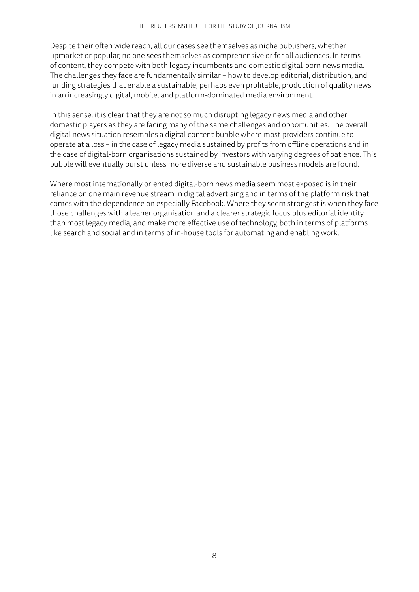Despite their often wide reach, all our cases see themselves as niche publishers, whether upmarket or popular, no one sees themselves as comprehensive or for all audiences. In terms of content, they compete with both legacy incumbents and domestic digital-born news media. The challenges they face are fundamentally similar – how to develop editorial, distribution, and funding strategies that enable a sustainable, perhaps even profitable, production of quality news in an increasingly digital, mobile, and platform-dominated media environment.

In this sense, it is clear that they are not so much disrupting legacy news media and other domestic players as they are facing many of the same challenges and opportunities. The overall digital news situation resembles a digital content bubble where most providers continue to operate at a loss – in the case of legacy media sustained by profits from offline operations and in the case of digital-born organisations sustained by investors with varying degrees of patience. This bubble will eventually burst unless more diverse and sustainable business models are found.

Where most internationally oriented digital-born news media seem most exposed is in their reliance on one main revenue stream in digital advertising and in terms of the platform risk that comes with the dependence on especially Facebook. Where they seem strongest is when they face those challenges with a leaner organisation and a clearer strategic focus plus editorial identity than most legacy media, and make more effective use of technology, both in terms of platforms like search and social and in terms of in-house tools for automating and enabling work.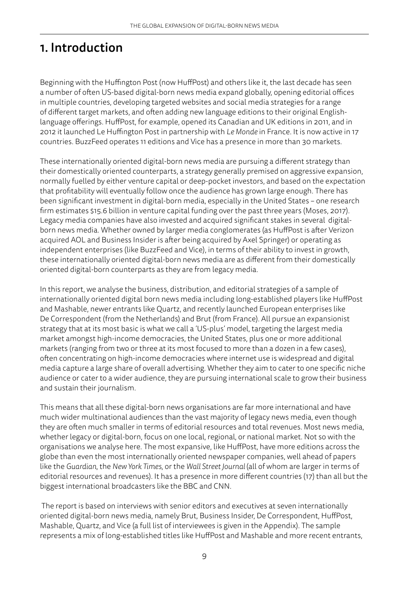## 1. Introduction

Beginning with the Huffington Post (now HuffPost) and others like it, the last decade has seen a number of often US-based digital-born news media expand globally, opening editorial offices in multiple countries, developing targeted websites and social media strategies for a range of different target markets, and often adding new language editions to their original Englishlanguage offerings. HuffPost, for example, opened its Canadian and UK editions in 2011, and in 2012 it launched Le Huffington Post in partnership with *Le Monde* in France. It is now active in 17 countries. BuzzFeed operates 11 editions and Vice has a presence in more than 30 markets.

These internationally oriented digital-born news media are pursuing a different strategy than their domestically oriented counterparts, a strategy generally premised on aggressive expansion, normally fuelled by either venture capital or deep-pocket investors, and based on the expectation that profitability will eventually follow once the audience has grown large enough. There has been significant investment in digital-born media, especially in the United States – one research firm estimates \$15.6 billion in venture capital funding over the past three years (Moses, 2017). Legacy media companies have also invested and acquired significant stakes in several digitalborn news media. Whether owned by larger media conglomerates (as HuffPost is after Verizon acquired AOL and Business Insider is after being acquired by Axel Springer) or operating as independent enterprises (like BuzzFeed and Vice), in terms of their ability to invest in growth, these internationally oriented digital-born news media are as different from their domestically oriented digital-born counterparts as they are from legacy media.

In this report, we analyse the business, distribution, and editorial strategies of a sample of internationally oriented digital born news media including long-established players like HuffPost and Mashable, newer entrants like Quartz, and recently launched European enterprises like De Correspondent (from the Netherlands) and Brut (from France). All pursue an expansionist strategy that at its most basic is what we call a 'US-plus' model, targeting the largest media market amongst high-income democracies, the United States, plus one or more additional markets (ranging from two or three at its most focused to more than a dozen in a few cases), often concentrating on high-income democracies where internet use is widespread and digital media capture a large share of overall advertising. Whether they aim to cater to one specific niche audience or cater to a wider audience, they are pursuing international scale to grow their business and sustain their journalism.

This means that all these digital-born news organisations are far more international and have much wider multinational audiences than the vast majority of legacy news media, even though they are often much smaller in terms of editorial resources and total revenues. Most news media, whether legacy or digital-born, focus on one local, regional, or national market. Not so with the organisations we analyse here. The most expansive, like HuffPost, have more editions across the globe than even the most internationally oriented newspaper companies, well ahead of papers like the *Guardian*, the *New York Times*, or the *Wall Street Journal* (all of whom are larger in terms of editorial resources and revenues). It has a presence in more different countries (17) than all but the biggest international broadcasters like the BBC and CNN.

 The report is based on interviews with senior editors and executives at seven internationally oriented digital-born news media, namely Brut, Business Insider, De Correspondent, HuffPost, Mashable, Quartz, and Vice (a full list of interviewees is given in the Appendix). The sample represents a mix of long-established titles like HuffPost and Mashable and more recent entrants,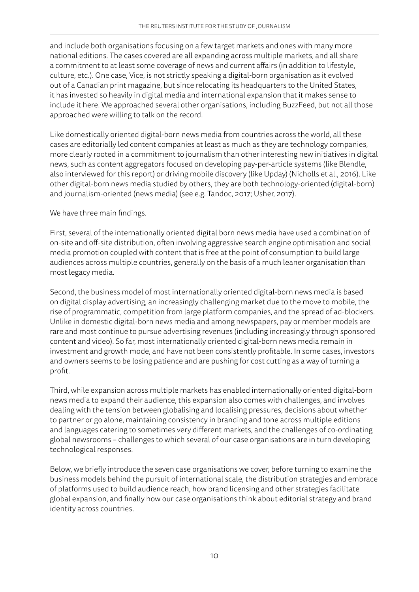and include both organisations focusing on a few target markets and ones with many more national editions. The cases covered are all expanding across multiple markets, and all share a commitment to at least some coverage of news and current affairs (in addition to lifestyle, culture, etc.). One case, Vice, is not strictly speaking a digital-born organisation as it evolved out of a Canadian print magazine, but since relocating its headquarters to the United States, it has invested so heavily in digital media and international expansion that it makes sense to include it here. We approached several other organisations, including BuzzFeed, but not all those approached were willing to talk on the record.

Like domestically oriented digital-born news media from countries across the world, all these cases are editorially led content companies at least as much as they are technology companies, more clearly rooted in a commitment to journalism than other interesting new initiatives in digital news, such as content aggregators focused on developing pay-per-article systems (like Blendle, also interviewed for this report) or driving mobile discovery (like Upday) (Nicholls et al., 2016). Like other digital-born news media studied by others, they are both technology-oriented (digital-born) and journalism-oriented (news media) (see e.g. Tandoc, 2017; Usher, 2017).

We have three main findings.

First, several of the internationally oriented digital born news media have used a combination of on-site and off-site distribution, often involving aggressive search engine optimisation and social media promotion coupled with content that is free at the point of consumption to build large audiences across multiple countries, generally on the basis of a much leaner organisation than most legacy media.

Second, the business model of most internationally oriented digital-born news media is based on digital display advertising, an increasingly challenging market due to the move to mobile, the rise of programmatic, competition from large platform companies, and the spread of ad-blockers. Unlike in domestic digital-born news media and among newspapers, pay or member models are rare and most continue to pursue advertising revenues (including increasingly through sponsored content and video). So far, most internationally oriented digital-born news media remain in investment and growth mode, and have not been consistently profitable. In some cases, investors and owners seems to be losing patience and are pushing for cost cutting as a way of turning a profit.

Third, while expansion across multiple markets has enabled internationally oriented digital-born news media to expand their audience, this expansion also comes with challenges, and involves dealing with the tension between globalising and localising pressures, decisions about whether to partner or go alone, maintaining consistency in branding and tone across multiple editions and languages catering to sometimes very different markets, and the challenges of co-ordinating global newsrooms – challenges to which several of our case organisations are in turn developing technological responses.

Below, we briefly introduce the seven case organisations we cover, before turning to examine the business models behind the pursuit of international scale, the distribution strategies and embrace of platforms used to build audience reach, how brand licensing and other strategies facilitate global expansion, and finally how our case organisations think about editorial strategy and brand identity across countries.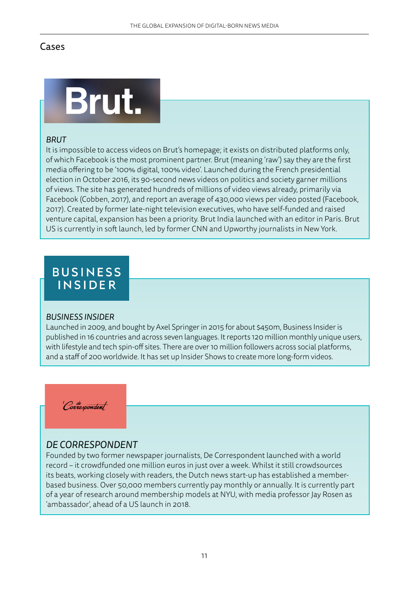### Cases



### *BRUT*

It is impossible to access videos on Brut's homepage; it exists on distributed platforms only, of which Facebook is the most prominent partner. Brut (meaning 'raw') say they are the first media offering to be '100% digital, 100% video'. Launched during the French presidential election in October 2016, its 90-second news videos on politics and society garner millions of views. The site has generated hundreds of millions of video views already, primarily via Facebook (Cobben, 2017), and report an average of 430,000 views per video posted (Facebook, 2017). Created by former late-night television executives, who have self-funded and raised venture capital, expansion has been a priority. Brut India launched with an editor in Paris. Brut US is currently in soft launch, led by former CNN and Upworthy journalists in New York.

# **BUSINESS INSIDER**

#### *BUSINESS INSIDER*

Launched in 2009, and bought by Axel Springer in 2015 for about \$450m, Business Insider is published in 16 countries and across seven languages. It reports 120 million monthly unique users, with lifestyle and tech spin-off sites. There are over 10 million followers across social platforms, and a staff of 200 worldwide. It has set up Insider Shows to create more long-form videos.

Correspondent

### *DE CORRESPONDENT*

Founded by two former newspaper journalists, De Correspondent launched with a world record – it crowdfunded one million euros in just over a week. Whilst it still crowdsources its beats, working closely with readers, the Dutch news start-up has established a memberbased business. Over 50,000 members currently pay monthly or annually. It is currently part of a year of research around membership models at NYU, with media professor Jay Rosen as 'ambassador', ahead of a US launch in 2018.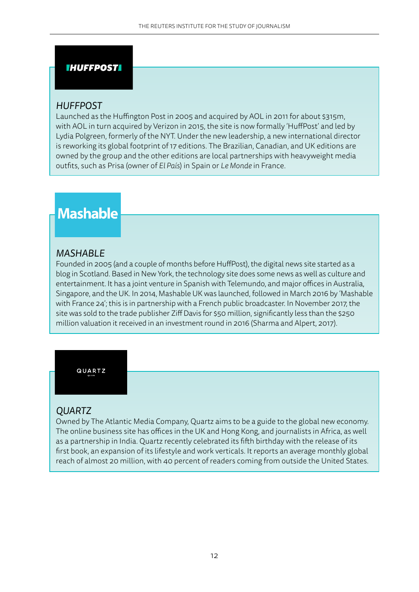#### **IHUFFPOSTI**

### *HUFFPOST*

Launched as the Huffington Post in 2005 and acquired by AOL in 2011 for about \$315m, with AOL in turn acquired by Verizon in 2015, the site is now formally 'HuffPost' and led by Lydia Polgreen, formerly of the NYT. Under the new leadership, a new international director is reworking its global footprint of 17 editions. The Brazilian, Canadian, and UK editions are owned by the group and the other editions are local partnerships with heavyweight media outfits, such as Prisa (owner of *El País*) in Spain or *Le Monde* in France.

# **Mashable**

### *MASHABLE*

Founded in 2005 (and a couple of months before HuffPost), the digital news site started as a blog in Scotland. Based in New York, the technology site does some news as well as culture and entertainment. It has a joint venture in Spanish with Telemundo, and major offices in Australia, Singapore, and the UK. In 2014, Mashable UK was launched, followed in March 2016 by 'Mashable with France 24'; this is in partnership with a French public broadcaster. In November 2017, the site was sold to the trade publisher Ziff Davis for \$50 million, significantly less than the \$250 million valuation it received in an investment round in 2016 (Sharma and Alpert, 2017).

#### QUARTZ

### *QUARTZ*

Owned by The Atlantic Media Company, Quartz aims to be a guide to the global new economy. The online business site has offices in the UK and Hong Kong, and journalists in Africa, as well as a partnership in India. Quartz recently celebrated its fifth birthday with the release of its first book, an expansion of its lifestyle and work verticals. It reports an average monthly global reach of almost 20 million, with 40 percent of readers coming from outside the United States.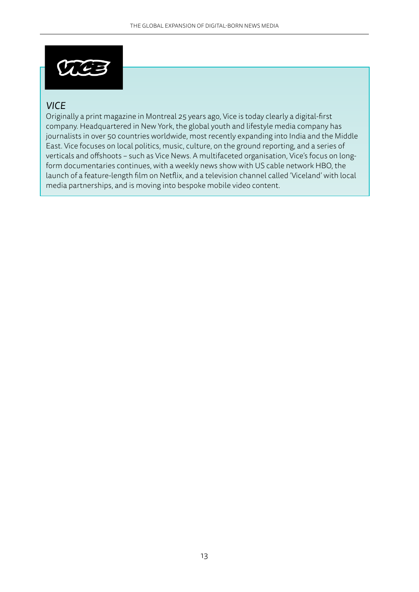

### *VICE*

Originally a print magazine in Montreal 25 years ago, Vice is today clearly a digital-first company. Headquartered in New York, the global youth and lifestyle media company has journalists in over 50 countries worldwide, most recently expanding into India and the Middle East. Vice focuses on local politics, music, culture, on the ground reporting, and a series of verticals and offshoots – such as Vice News. A multifaceted organisation, Vice's focus on longform documentaries continues, with a weekly news show with US cable network HBO, the launch of a feature-length film on Netflix, and a television channel called 'Viceland' with local media partnerships, and is moving into bespoke mobile video content.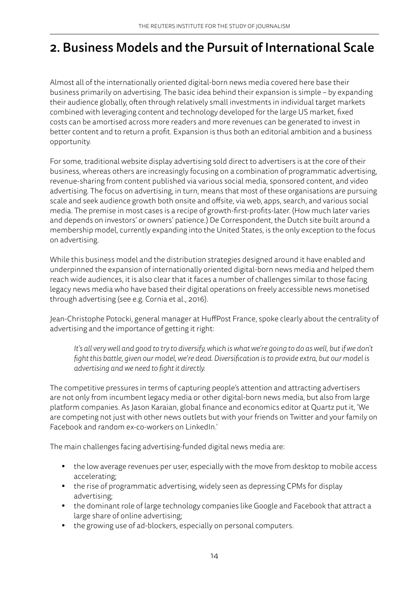# 2. Business Models and the Pursuit of International Scale

Almost all of the internationally oriented digital-born news media covered here base their business primarily on advertising. The basic idea behind their expansion is simple – by expanding their audience globally, often through relatively small investments in individual target markets combined with leveraging content and technology developed for the large US market, fixed costs can be amortised across more readers and more revenues can be generated to invest in better content and to return a profit. Expansion is thus both an editorial ambition and a business opportunity.

For some, traditional website display advertising sold direct to advertisers is at the core of their business, whereas others are increasingly focusing on a combination of programmatic advertising, revenue-sharing from content published via various social media, sponsored content, and video advertising. The focus on advertising, in turn, means that most of these organisations are pursuing scale and seek audience growth both onsite and offsite, via web, apps, search, and various social media. The premise in most cases is a recipe of growth-first-profits-later. (How much later varies and depends on investors' or owners' patience.) De Correspondent, the Dutch site built around a membership model, currently expanding into the United States, is the only exception to the focus on advertising.

While this business model and the distribution strategies designed around it have enabled and underpinned the expansion of internationally oriented digital-born news media and helped them reach wide audiences, it is also clear that it faces a number of challenges similar to those facing legacy news media who have based their digital operations on freely accessible news monetised through advertising (see e.g. Cornia et al., 2016).

Jean-Christophe Potocki, general manager at HuffPost France, spoke clearly about the centrality of advertising and the importance of getting it right:

It's all very well and good to try to diversify, which is what we're going to do as well, but if we don't *fight this battle, given our model, we're dead. Diversification is to provide extra, but our model is advertising and we need to fight it directly.*

The competitive pressures in terms of capturing people's attention and attracting advertisers are not only from incumbent legacy media or other digital-born news media, but also from large platform companies. As Jason Karaian, global finance and economics editor at Quartz put it, 'We are competing not just with other news outlets but with your friends on Twitter and your family on Facebook and random ex-co-workers on LinkedIn.'

The main challenges facing advertising-funded digital news media are:

- the low average revenues per user, especially with the move from desktop to mobile access accelerating;
- **•** the rise of programmatic advertising, widely seen as depressing CPMs for display advertising;
- **•** the dominant role of large technology companies like Google and Facebook that attract a large share of online advertising;
- **•** the growing use of ad-blockers, especially on personal computers.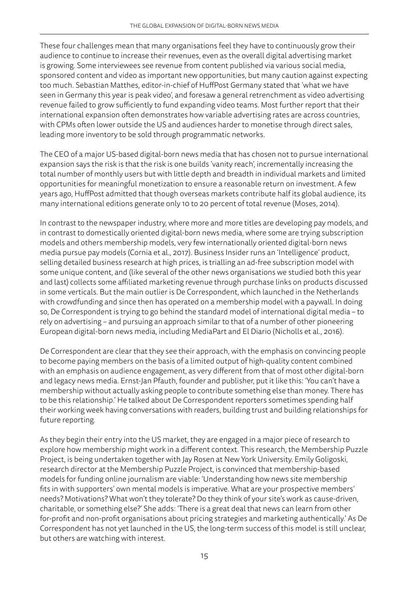These four challenges mean that many organisations feel they have to continuously grow their audience to continue to increase their revenues, even as the overall digital advertising market is growing. Some interviewees see revenue from content published via various social media, sponsored content and video as important new opportunities, but many caution against expecting too much. Sebastian Matthes, editor-in-chief of HuffPost Germany stated that 'what we have seen in Germany this year is peak video', and foresaw a general retrenchment as video advertising revenue failed to grow sufficiently to fund expanding video teams. Most further report that their international expansion often demonstrates how variable advertising rates are across countries, with CPMs often lower outside the US and audiences harder to monetise through direct sales, leading more inventory to be sold through programmatic networks.

The CEO of a major US-based digital-born news media that has chosen not to pursue international expansion says the risk is that the risk is one builds 'vanity reach', incrementally increasing the total number of monthly users but with little depth and breadth in individual markets and limited opportunities for meaningful monetization to ensure a reasonable return on investment. A few years ago, HuffPost admitted that though overseas markets contribute half its global audience, its many international editions generate only 10 to 20 percent of total revenue (Moses, 2014).

In contrast to the newspaper industry, where more and more titles are developing pay models, and in contrast to domestically oriented digital-born news media, where some are trying subscription models and others membership models, very few internationally oriented digital-born news media pursue pay models (Cornia et al., 2017). Business Insider runs an 'Intelligence' product, selling detailed business research at high prices, is trialling an ad-free subscription model with some unique content, and (like several of the other news organisations we studied both this year and last) collects some affiliated marketing revenue through purchase links on products discussed in some verticals. But the main outlier is De Correspondent, which launched in the Netherlands with crowdfunding and since then has operated on a membership model with a paywall. In doing so, De Correspondent is trying to go behind the standard model of international digital media – to rely on advertising – and pursuing an approach similar to that of a number of other pioneering European digital-born news media, including MediaPart and El Diario (Nicholls et al., 2016).

De Correspondent are clear that they see their approach, with the emphasis on convincing people to become paying members on the basis of a limited output of high-quality content combined with an emphasis on audience engagement, as very different from that of most other digital-born and legacy news media. Ernst-Jan Pfauth, founder and publisher, put it like this: 'You can't have a membership without actually asking people to contribute something else than money. There has to be this relationship.' He talked about De Correspondent reporters sometimes spending half their working week having conversations with readers, building trust and building relationships for future reporting.

As they begin their entry into the US market, they are engaged in a major piece of research to explore how membership might work in a different context. This research, the Membership Puzzle Project, is being undertaken together with Jay Rosen at New York University. Emily Goligoski, research director at the Membership Puzzle Project, is convinced that membership-based models for funding online journalism are viable: 'Understanding how news site membership fits in with supporters' own mental models is imperative. What are your prospective members' needs? Motivations? What won't they tolerate? Do they think of your site's work as cause-driven, charitable, or something else?' She adds: 'There is a great deal that news can learn from other for-profit and non-profit organisations about pricing strategies and marketing authentically.' As De Correspondent has not yet launched in the US, the long-term success of this model is still unclear, but others are watching with interest.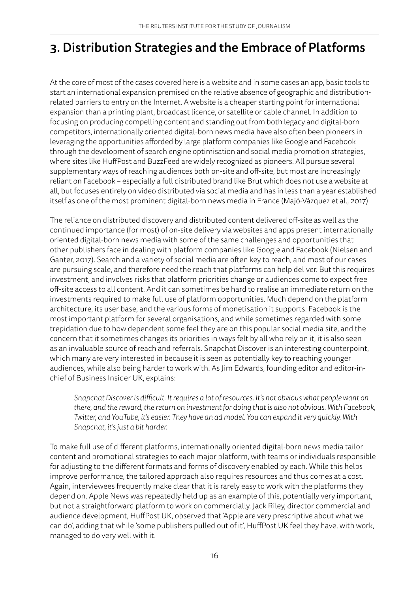# 3. Distribution Strategies and the Embrace of Platforms

At the core of most of the cases covered here is a website and in some cases an app, basic tools to start an international expansion premised on the relative absence of geographic and distributionrelated barriers to entry on the Internet. A website is a cheaper starting point for international expansion than a printing plant, broadcast licence, or satellite or cable channel. In addition to focusing on producing compelling content and standing out from both legacy and digital-born competitors, internationally oriented digital-born news media have also often been pioneers in leveraging the opportunities afforded by large platform companies like Google and Facebook through the development of search engine optimisation and social media promotion strategies, where sites like HuffPost and BuzzFeed are widely recognized as pioneers. All pursue several supplementary ways of reaching audiences both on-site and off-site, but most are increasingly reliant on Facebook – especially a full distributed brand like Brut which does not use a website at all, but focuses entirely on video distributed via social media and has in less than a year established itself as one of the most prominent digital-born news media in France (Majó-Vázquez et al., 2017).

The reliance on distributed discovery and distributed content delivered off-site as well as the continued importance (for most) of on-site delivery via websites and apps present internationally oriented digital-born news media with some of the same challenges and opportunities that other publishers face in dealing with platform companies like Google and Facebook (Nielsen and Ganter, 2017). Search and a variety of social media are often key to reach, and most of our cases are pursuing scale, and therefore need the reach that platforms can help deliver. But this requires investment, and involves risks that platform priorities change or audiences come to expect free off-site access to all content. And it can sometimes be hard to realise an immediate return on the investments required to make full use of platform opportunities. Much depend on the platform architecture, its user base, and the various forms of monetisation it supports. Facebook is the most important platform for several organisations, and while sometimes regarded with some trepidation due to how dependent some feel they are on this popular social media site, and the concern that it sometimes changes its priorities in ways felt by all who rely on it, it is also seen as an invaluable source of reach and referrals. Snapchat Discover is an interesting counterpoint, which many are very interested in because it is seen as potentially key to reaching younger audiences, while also being harder to work with. As Jim Edwards, founding editor and editor-inchief of Business Insider UK, explains:

*Snapchat Discover is difficult. It requires a lot of resources. It's not obvious what people want on there, and the reward, the return on investment for doing that is also not obvious. With Facebook, Twitter, and YouTube, it's easier. They have an ad model. You can expand it very quickly. With Snapchat, it's just a bit harder.*

To make full use of different platforms, internationally oriented digital-born news media tailor content and promotional strategies to each major platform, with teams or individuals responsible for adjusting to the different formats and forms of discovery enabled by each. While this helps improve performance, the tailored approach also requires resources and thus comes at a cost. Again, interviewees frequently make clear that it is rarely easy to work with the platforms they depend on. Apple News was repeatedly held up as an example of this, potentially very important, but not a straightforward platform to work on commercially. Jack Riley, director commercial and audience development, HuffPost UK, observed that 'Apple are very prescriptive about what we can do', adding that while 'some publishers pulled out of it', HuffPost UK feel they have, with work, managed to do very well with it.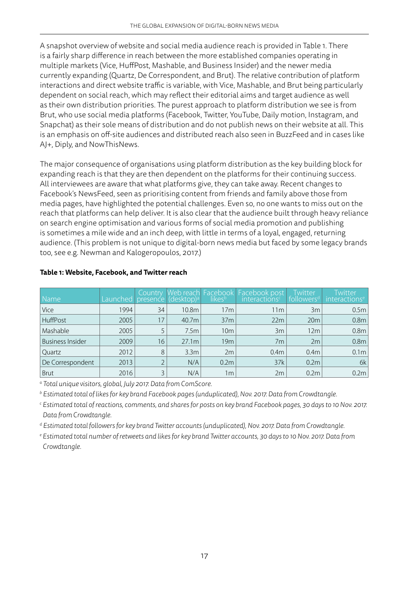A snapshot overview of website and social media audience reach is provided in Table 1. There is a fairly sharp difference in reach between the more established companies operating in multiple markets (Vice, HuffPost, Mashable, and Business Insider) and the newer media currently expanding (Quartz, De Correspondent, and Brut). The relative contribution of platform interactions and direct website traffic is variable, with Vice, Mashable, and Brut being particularly dependent on social reach, which may reflect their editorial aims and target audience as well as their own distribution priorities. The purest approach to platform distribution we see is from Brut, who use social media platforms (Facebook, Twitter, YouTube, Daily motion, Instagram, and Snapchat) as their sole means of distribution and do not publish news on their website at all. This is an emphasis on off-site audiences and distributed reach also seen in BuzzFeed and in cases like AJ+, Diply, and NowThisNews.

The major consequence of organisations using platform distribution as the key building block for expanding reach is that they are then dependent on the platforms for their continuing success. All interviewees are aware that what platforms give, they can take away. Recent changes to Facebook's NewsFeed, seen as prioritising content from friends and family above those from media pages, have highlighted the potential challenges. Even so, no one wants to miss out on the reach that platforms can help deliver. It is also clear that the audience built through heavy reliance on search engine optimisation and various forms of social media promotion and publishing is sometimes a mile wide and an inch deep, with little in terms of a loyal, engaged, returning audience. (This problem is not unique to digital-born news media but faced by some legacy brands too, see e.g. Newman and Kalogeropoulos, 2017.)

| Name                    | Launched | <b>Country</b> | presence (desktop) <sup>a</sup> | likesb           | Web reach Facebook   Facebook post<br>interactions <sup>c</sup> | Twitter<br>followers <sup>d</sup> | <i><u><b>Twitter</b></u></i><br>interactions <sup>e</sup> |
|-------------------------|----------|----------------|---------------------------------|------------------|-----------------------------------------------------------------|-----------------------------------|-----------------------------------------------------------|
| Vice                    | 1994     | 34             | 10.8m                           | 17m              | 11 <sub>m</sub>                                                 | 3m                                | 0.5 <sub>m</sub>                                          |
| HuffPost                | 2005     | 17             | 40.7m                           | 37 <sub>m</sub>  | 22m                                                             | 20m                               | 0.8 <sub>m</sub>                                          |
| Mashable                | 2005     |                | 7.5m                            | 10 <sub>m</sub>  | 3m                                                              | 12m                               | 0.8 <sub>m</sub>                                          |
| <b>Business Insider</b> | 2009     | 16             | 27.1m                           | 19m              | 7m                                                              | 2m                                | 0.8 <sub>m</sub>                                          |
| Quartz                  | 2012     | 8              | 3.3 <sub>m</sub>                | 2m               | 0.4 <sub>m</sub>                                                | 0.4 <sub>m</sub>                  | 0.1 <sub>m</sub>                                          |
| De Correspondent        | 2013     |                | N/A                             | 0.2 <sub>m</sub> | 37k                                                             | 0.2 <sub>m</sub>                  | 6k                                                        |
| <b>Brut</b>             | 2016     |                | N/A                             | 1 <sub>m</sub>   | 2m                                                              | 0.2 <sub>m</sub>                  | 0.2m                                                      |

### **Table 1: Website, Facebook, and Twitter reach**

*a Total unique visitors, global, July 2017. Data from ComScore.*

*b Estimated total of likes for key brand Facebook pages (unduplicated), Nov. 2017. Data from Crowdtangle.*

*c Estimated total of reactions, comments, and shares for posts on key brand Facebook pages, 30 days to 10 Nov. 2017. Data from Crowdtangle.*

*d Estimated total followers for key brand Twitter accounts (unduplicated), Nov. 2017. Data from Crowdtangle.*

*e Estimated total number of retweets and likes for key brand Twitter accounts, 30 days to 10 Nov. 2017. Data from Crowdtangle.*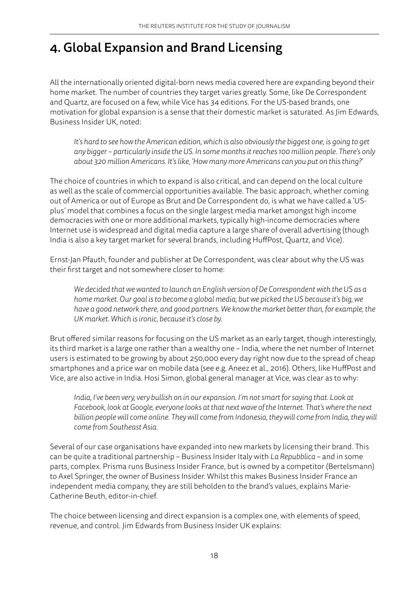# 4. Global Expansion and Brand Licensing

All the internationally oriented digital-born news media covered here are expanding beyond their home market. The number of countries they target varies greatly. Some, like De Correspondent and Quartz, are focused on a few, while Vice has 34 editions. For the US-based brands, one motivation for global expansion is a sense that their domestic market is saturated. As Jim Edwards, Business Insider UK, noted:

*It's hard to see how the American edition, which is also obviously the biggest one, is going to get any bigger – particularly inside the US. In some months it reaches 100 million people. There's only about 320 million Americans. It's like, 'How many more Americans can you put on this thing?'*

The choice of countries in which to expand is also critical, and can depend on the local culture as well as the scale of commercial opportunities available. The basic approach, whether coming out of America or out of Europe as Brut and De Correspondent do, is what we have called a 'USplus' model that combines a focus on the single largest media market amongst high income democracies with one or more additional markets, typically high-income democracies where Internet use is widespread and digital media capture a large share of overall advertising (though India is also a key target market for several brands, including HuffPost, Quartz, and Vice).

Ernst-Jan Pfauth, founder and publisher at De Correspondent, was clear about why the US was their first target and not somewhere closer to home:

*We decided that we wanted to launch an English version of De Correspondent with the US as a home market. Our goal is to become a global media, but we picked the US because it's big, we have a good network there, and good partners. We know the market better than, for example, the UK market. Which is ironic, because it's close by.*

Brut offered similar reasons for focusing on the US market as an early target, though interestingly, its third market is a large one rather than a wealthy one – India, where the net number of Internet users is estimated to be growing by about 250,000 every day right now due to the spread of cheap smartphones and a price war on mobile data (see e.g. Aneez et al., 2016). Others, like HuffPost and Vice, are also active in India. Hosi Simon, global general manager at Vice, was clear as to why:

*India, I've been very, very bullish on in our expansion. I'm not smart for saying that. Look at Facebook, look at Google, everyone looks at that next wave of the Internet. That's where the next billion people will come online. They will come from Indonesia, they will come from India, they will come from Southeast Asia.* 

Several of our case organisations have expanded into new markets by licensing their brand. This can be quite a traditional partnership – Business Insider Italy with *La Repubblica* – and in some parts, complex. Prisma runs Business Insider France, but is owned by a competitor (Bertelsmann) to Axel Springer, the owner of Business Insider. Whilst this makes Business Insider France an independent media company, they are still beholden to the brand's values, explains Marie-Catherine Beuth, editor-in-chief.

The choice between licensing and direct expansion is a complex one, with elements of speed, revenue, and control. Jim Edwards from Business Insider UK explains: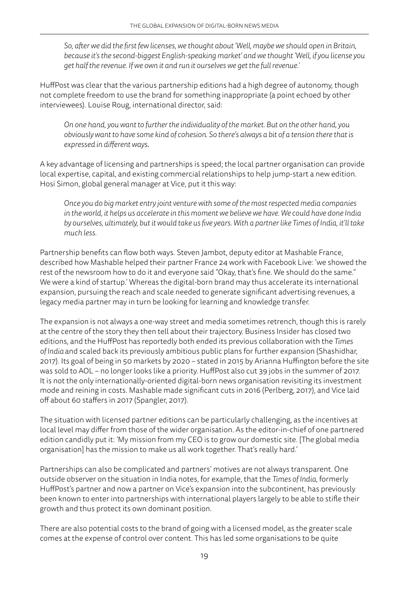*So, after we did the first few licenses, we thought about 'Well, maybe we should open in Britain, because it's the second-biggest English-speaking market' and we thought 'Well, if you license you get half the revenue. If we own it and run it ourselves we get the full revenue.'*

HuffPost was clear that the various partnership editions had a high degree of autonomy, though not complete freedom to use the brand for something inappropriate (a point echoed by other interviewees). Louise Roug, international director, said:

*On one hand, you want to further the individuality of the market. But on the other hand, you obviously want to have some kind of cohesion. So there's always a bit of a tension there that is expressed in different ways*.

A key advantage of licensing and partnerships is speed; the local partner organisation can provide local expertise, capital, and existing commercial relationships to help jump-start a new edition. Hosi Simon, global general manager at Vice, put it this way:

*Once you do big market entry joint venture with some of the most respected media companies in the world, it helps us accelerate in this moment we believe we have. We could have done India by ourselves, ultimately, but it would take us five years. With a partner like Times of India, it'll take much less.*

Partnership benefits can flow both ways. Steven Jambot, deputy editor at Mashable France, described how Mashable helped their partner France 24 work with Facebook Live: 'we showed the rest of the newsroom how to do it and everyone said "Okay, that's fine. We should do the same." We were a kind of startup.' Whereas the digital-born brand may thus accelerate its international expansion, pursuing the reach and scale needed to generate significant advertising revenues, a legacy media partner may in turn be looking for learning and knowledge transfer.

The expansion is not always a one-way street and media sometimes retrench, though this is rarely at the centre of the story they then tell about their trajectory. Business Insider has closed two editions, and the HuffPost has reportedly both ended its previous collaboration with the *Times of India* and scaled back its previously ambitious public plans for further expansion (Shashidhar, 2017). Its goal of being in 50 markets by 2020 – stated in 2015 by Arianna Huffington before the site was sold to AOL – no longer looks like a priority. HuffPost also cut 39 jobs in the summer of 2017. It is not the only internationally-oriented digital-born news organisation revisiting its investment mode and reining in costs. Mashable made significant cuts in 2016 (Perlberg, 2017), and Vice laid off about 60 staffers in 2017 (Spangler, 2017).

The situation with licensed partner editions can be particularly challenging, as the incentives at local level may differ from those of the wider organisation. As the editor-in-chief of one partnered edition candidly put it: 'My mission from my CEO is to grow our domestic site. [The global media organisation] has the mission to make us all work together. That's really hard.'

Partnerships can also be complicated and partners' motives are not always transparent. One outside observer on the situation in India notes, for example, that the *Times of India*, formerly HuffPost's partner and now a partner on Vice's expansion into the subcontinent, has previously been known to enter into partnerships with international players largely to be able to stifle their growth and thus protect its own dominant position.

There are also potential costs to the brand of going with a licensed model, as the greater scale comes at the expense of control over content. This has led some organisations to be quite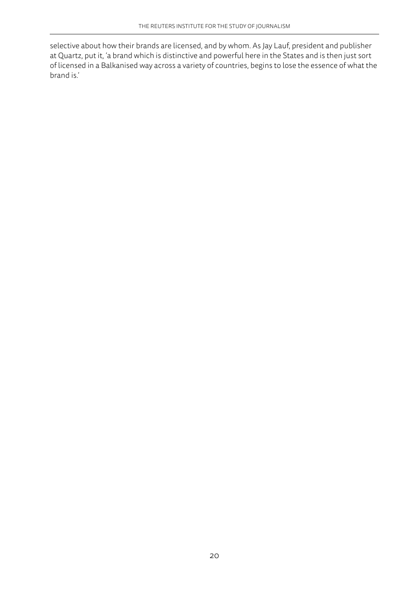selective about how their brands are licensed, and by whom. As Jay Lauf, president and publisher at Quartz, put it, 'a brand which is distinctive and powerful here in the States and is then just sort of licensed in a Balkanised way across a variety of countries, begins to lose the essence of what the brand is.'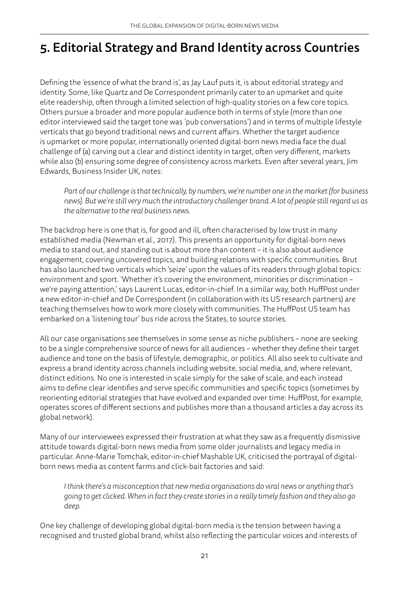# 5. Editorial Strategy and Brand Identity across Countries

Defining the 'essence of what the brand is', as Jay Lauf puts it, is about editorial strategy and identity. Some, like Quartz and De Correspondent primarily cater to an upmarket and quite elite readership, often through a limited selection of high-quality stories on a few core topics. Others pursue a broader and more popular audience both in terms of style (more than one editor interviewed said the target tone was 'pub conversations') and in terms of multiple lifestyle verticals that go beyond traditional news and current affairs. Whether the target audience is upmarket or more popular, internationally oriented digital-born news media face the dual challenge of (a) carving out a clear and distinct identity in target, often very different, markets while also (b) ensuring some degree of consistency across markets. Even after several years, Jim Edwards, Business Insider UK, notes:

*Part of our challenge is that technically, by numbers, we're number one in the market [for business news]. But we're still very much the introductory challenger brand. A lot of people still regard us as the alternative to the real business news.*

The backdrop here is one that is, for good and ill, often characterised by low trust in many established media (Newman et al., 2017). This presents an opportunity for digital-born news media to stand out, and standing out is about more than content – it is also about audience engagement, covering uncovered topics, and building relations with specific communities. Brut has also launched two verticals which 'seize' upon the values of its readers through global topics: environment and sport. 'Whether it's covering the environment, minorities or discrimination – we're paying attention,' says Laurent Lucas, editor-in-chief. In a similar way, both HuffPost under a new editor-in-chief and De Correspondent (in collaboration with its US research partners) are teaching themselves how to work more closely with communities. The HuffPost US team has embarked on a 'listening tour' bus ride across the States, to source stories.

All our case organisations see themselves in some sense as niche publishers – none are seeking to be a single comprehensive source of news for all audiences – whether they define their target audience and tone on the basis of lifestyle, demographic, or politics. All also seek to cultivate and express a brand identity across channels including website, social media, and, where relevant, distinct editions. No one is interested in scale simply for the sake of scale, and each instead aims to define clear identifies and serve specific communities and specific topics (sometimes by reorienting editorial strategies that have evolved and expanded over time: HuffPost, for example, operates scores of different sections and publishes more than a thousand articles a day across its global network).

Many of our interviewees expressed their frustration at what they saw as a frequently dismissive attitude towards digital-born news media from some older journalists and legacy media in particular. Anne-Marie Tomchak, editor-in-chief Mashable UK, criticised the portrayal of digitalborn news media as content farms and click-bait factories and said:

*I think there's a misconception that new media organisations do viral news or anything that's going to get clicked. When in fact they create stories in a really timely fashion and they also go deep.*

One key challenge of developing global digital-born media is the tension between having a recognised and trusted global brand, whilst also reflecting the particular voices and interests of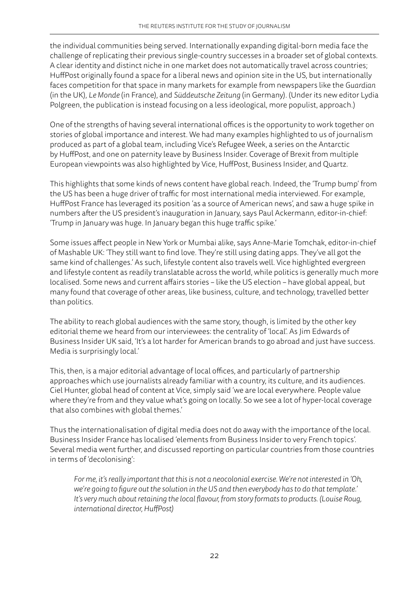the individual communities being served. Internationally expanding digital-born media face the challenge of replicating their previous single-country successes in a broader set of global contexts. A clear identity and distinct niche in one market does not automatically travel across countries; HuffPost originally found a space for a liberal news and opinion site in the US, but internationally faces competition for that space in many markets for example from newspapers like the *Guardian* (in the UK), *Le Monde* (in France), and *Süddeutsche Zeitung* (in Germany). (Under its new editor Lydia Polgreen, the publication is instead focusing on a less ideological, more populist, approach.)

One of the strengths of having several international offices is the opportunity to work together on stories of global importance and interest. We had many examples highlighted to us of journalism produced as part of a global team, including Vice's Refugee Week, a series on the Antarctic by HuffPost, and one on paternity leave by Business Insider. Coverage of Brexit from multiple European viewpoints was also highlighted by Vice, HuffPost, Business Insider, and Quartz.

This highlights that some kinds of news content have global reach. Indeed, the 'Trump bump' from the US has been a huge driver of traffic for most international media interviewed. For example, HuffPost France has leveraged its position 'as a source of American news', and saw a huge spike in numbers after the US president's inauguration in January, says Paul Ackermann, editor-in-chief: 'Trump in January was huge. In January began this huge traffic spike.'

Some issues affect people in New York or Mumbai alike, says Anne-Marie Tomchak, editor-in-chief of Mashable UK: 'They still want to find love. They're still using dating apps. They've all got the same kind of challenges.' As such, lifestyle content also travels well. Vice highlighted evergreen and lifestyle content as readily translatable across the world, while politics is generally much more localised. Some news and current affairs stories – like the US election – have global appeal, but many found that coverage of other areas, like business, culture, and technology, travelled better than politics.

The ability to reach global audiences with the same story, though, is limited by the other key editorial theme we heard from our interviewees: the centrality of 'local'. As Jim Edwards of Business Insider UK said, 'It's a lot harder for American brands to go abroad and just have success. Media is surprisingly local.'

This, then, is a major editorial advantage of local offices, and particularly of partnership approaches which use journalists already familiar with a country, its culture, and its audiences. Ciel Hunter, global head of content at Vice, simply said 'we are local everywhere. People value where they're from and they value what's going on locally. So we see a lot of hyper-local coverage that also combines with global themes.'

Thus the internationalisation of digital media does not do away with the importance of the local. Business Insider France has localised 'elements from Business Insider to very French topics'. Several media went further, and discussed reporting on particular countries from those countries in terms of 'decolonising':

*For me, it's really important that this is not a neocolonial exercise. We're not interested in 'Oh, we're going to figure out the solution in the US and then everybody has to do that template.' It's very much about retaining the local flavour, from story formats to products. (Louise Roug, international director, HuffPost)*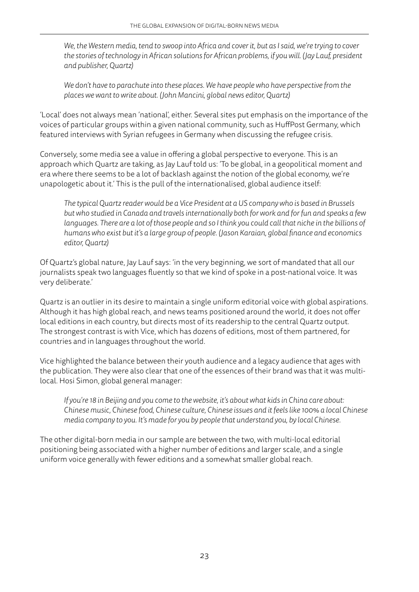*We, the Western media, tend to swoop into Africa and cover it, but as I said, we're trying to cover the stories of technology in African solutions for African problems, if you will. (Jay Lauf, president and publisher, Quartz)*

*We don't have to parachute into these places. We have people who have perspective from the places we want to write about. (John Mancini, global news editor, Quartz)*

'Local' does not always mean 'national', either. Several sites put emphasis on the importance of the voices of particular groups within a given national community, such as HuffPost Germany, which featured interviews with Syrian refugees in Germany when discussing the refugee crisis.

Conversely, some media see a value in offering a global perspective to everyone. This is an approach which Quartz are taking, as Jay Lauf told us: 'To be global, in a geopolitical moment and era where there seems to be a lot of backlash against the notion of the global economy, we're unapologetic about it.' This is the pull of the internationalised, global audience itself:

*The typical Quartz reader would be a Vice President at a US company who is based in Brussels but who studied in Canada and travels internationally both for work and for fun and speaks a few languages. There are a lot of those people and so I think you could call that niche in the billions of humans who exist but it's a large group of people. (Jason Karaian, global finance and economics editor, Quartz)*

Of Quartz's global nature, Jay Lauf says: 'in the very beginning, we sort of mandated that all our journalists speak two languages fluently so that we kind of spoke in a post-national voice. It was very deliberate.'

Quartz is an outlier in its desire to maintain a single uniform editorial voice with global aspirations. Although it has high global reach, and news teams positioned around the world, it does not offer local editions in each country, but directs most of its readership to the central Quartz output. The strongest contrast is with Vice, which has dozens of editions, most of them partnered, for countries and in languages throughout the world.

Vice highlighted the balance between their youth audience and a legacy audience that ages with the publication. They were also clear that one of the essences of their brand was that it was multilocal. Hosi Simon, global general manager:

*If you're 18 in Beijing and you come to the website, it's about what kids in China care about: Chinese music, Chinese food, Chinese culture, Chinese issues and it feels like 100% a local Chinese media company to you. It's made for you by people that understand you, by local Chinese.*

The other digital-born media in our sample are between the two, with multi-local editorial positioning being associated with a higher number of editions and larger scale, and a single uniform voice generally with fewer editions and a somewhat smaller global reach.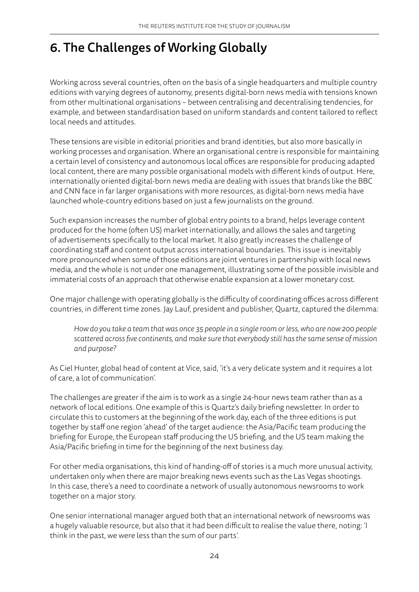# 6. The Challenges of Working Globally

Working across several countries, often on the basis of a single headquarters and multiple country editions with varying degrees of autonomy, presents digital-born news media with tensions known from other multinational organisations – between centralising and decentralising tendencies, for example, and between standardisation based on uniform standards and content tailored to reflect local needs and attitudes.

These tensions are visible in editorial priorities and brand identities, but also more basically in working processes and organisation. Where an organisational centre is responsible for maintaining a certain level of consistency and autonomous local offices are responsible for producing adapted local content, there are many possible organisational models with different kinds of output. Here, internationally oriented digital-born news media are dealing with issues that brands like the BBC and CNN face in far larger organisations with more resources, as digital-born news media have launched whole-country editions based on just a few journalists on the ground.

Such expansion increases the number of global entry points to a brand, helps leverage content produced for the home (often US) market internationally, and allows the sales and targeting of advertisements specifically to the local market. It also greatly increases the challenge of coordinating staff and content output across international boundaries. This issue is inevitably more pronounced when some of those editions are joint ventures in partnership with local news media, and the whole is not under one management, illustrating some of the possible invisible and immaterial costs of an approach that otherwise enable expansion at a lower monetary cost.

One major challenge with operating globally is the difficulty of coordinating offices across different countries, in different time zones. Jay Lauf, president and publisher, Quartz, captured the dilemma:

*How do you take a team that was once 35 people in a single room or less, who are now 200 people scattered across five continents, and make sure that everybody still has the same sense of mission and purpose?*

As Ciel Hunter, global head of content at Vice, said, 'it's a very delicate system and it requires a lot of care, a lot of communication'.

The challenges are greater if the aim is to work as a single 24-hour news team rather than as a network of local editions. One example of this is Quartz's daily briefing newsletter. In order to circulate this to customers at the beginning of the work day, each of the three editions is put together by staff one region 'ahead' of the target audience: the Asia/Pacific team producing the briefing for Europe, the European staff producing the US briefing, and the US team making the Asia/Pacific briefing in time for the beginning of the next business day.

For other media organisations, this kind of handing-off of stories is a much more unusual activity, undertaken only when there are major breaking news events such as the Las Vegas shootings. In this case, there's a need to coordinate a network of usually autonomous newsrooms to work together on a major story.

One senior international manager argued both that an international network of newsrooms was a hugely valuable resource, but also that it had been difficult to realise the value there, noting: 'I think in the past, we were less than the sum of our parts'.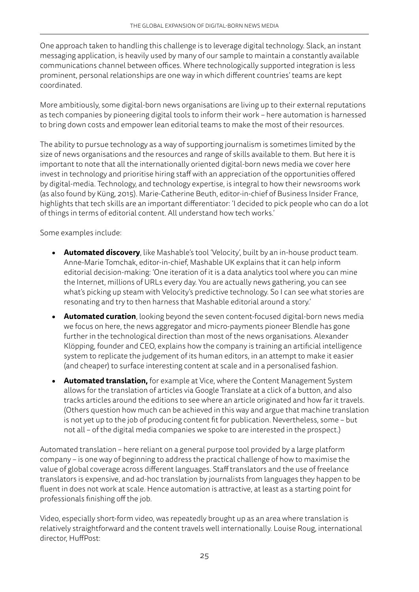One approach taken to handling this challenge is to leverage digital technology. Slack, an instant messaging application, is heavily used by many of our sample to maintain a constantly available communications channel between offices. Where technologically supported integration is less prominent, personal relationships are one way in which different countries' teams are kept coordinated.

More ambitiously, some digital-born news organisations are living up to their external reputations as tech companies by pioneering digital tools to inform their work – here automation is harnessed to bring down costs and empower lean editorial teams to make the most of their resources.

The ability to pursue technology as a way of supporting journalism is sometimes limited by the size of news organisations and the resources and range of skills available to them. But here it is important to note that all the internationally oriented digital-born news media we cover here invest in technology and prioritise hiring staff with an appreciation of the opportunities offered by digital-media. Technology, and technology expertise, is integral to how their newsrooms work (as also found by Küng, 2015). Marie-Catherine Beuth, editor-in-chief of Business Insider France, highlights that tech skills are an important differentiator: 'I decided to pick people who can do a lot of things in terms of editorial content. All understand how tech works.'

Some examples include:

- **• Automated discovery**, like Mashable's tool 'Velocity', built by an in-house product team. Anne-Marie Tomchak, editor-in-chief, Mashable UK explains that it can help inform editorial decision-making: 'One iteration of it is a data analytics tool where you can mine the Internet, millions of URLs every day. You are actually news gathering, you can see what's picking up steam with Velocity's predictive technology. So I can see what stories are resonating and try to then harness that Mashable editorial around a story.'
- **• Automated curation**, looking beyond the seven content-focused digital-born news media we focus on here, the news aggregator and micro-payments pioneer Blendle has gone further in the technological direction than most of the news organisations. Alexander Klöpping, founder and CEO, explains how the company is training an artificial intelligence system to replicate the judgement of its human editors, in an attempt to make it easier (and cheaper) to surface interesting content at scale and in a personalised fashion.
- **• Automated translation,** for example at Vice, where the Content Management System allows for the translation of articles via Google Translate at a click of a button, and also tracks articles around the editions to see where an article originated and how far it travels. (Others question how much can be achieved in this way and argue that machine translation is not yet up to the job of producing content fit for publication. Nevertheless, some – but not all – of the digital media companies we spoke to are interested in the prospect.)

Automated translation – here reliant on a general purpose tool provided by a large platform company – is one way of beginning to address the practical challenge of how to maximise the value of global coverage across different languages. Staff translators and the use of freelance translators is expensive, and ad-hoc translation by journalists from languages they happen to be fluent in does not work at scale. Hence automation is attractive, at least as a starting point for professionals finishing off the job.

Video, especially short-form video, was repeatedly brought up as an area where translation is relatively straightforward and the content travels well internationally. Louise Roug, international director, HuffPost: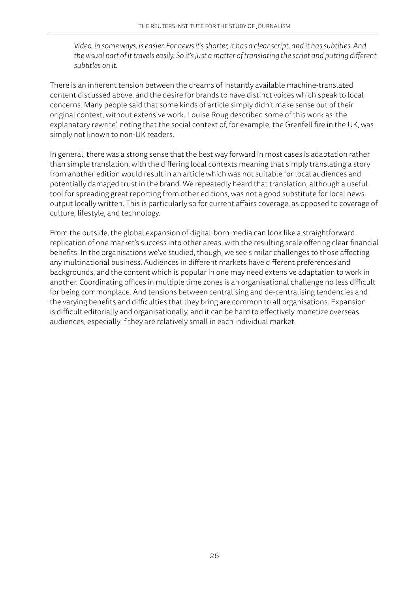*Video, in some ways, is easier. For news it's shorter, it has a clear script, and it has subtitles. And the visual part of it travels easily. So it's just a matter of translating the script and putting different subtitles on it.*

There is an inherent tension between the dreams of instantly available machine-translated content discussed above, and the desire for brands to have distinct voices which speak to local concerns. Many people said that some kinds of article simply didn't make sense out of their original context, without extensive work. Louise Roug described some of this work as 'the explanatory rewrite', noting that the social context of, for example, the Grenfell fire in the UK, was simply not known to non-UK readers.

In general, there was a strong sense that the best way forward in most cases is adaptation rather than simple translation, with the differing local contexts meaning that simply translating a story from another edition would result in an article which was not suitable for local audiences and potentially damaged trust in the brand. We repeatedly heard that translation, although a useful tool for spreading great reporting from other editions, was not a good substitute for local news output locally written. This is particularly so for current affairs coverage, as opposed to coverage of culture, lifestyle, and technology.

From the outside, the global expansion of digital-born media can look like a straightforward replication of one market's success into other areas, with the resulting scale offering clear financial benefits. In the organisations we've studied, though, we see similar challenges to those affecting any multinational business. Audiences in different markets have different preferences and backgrounds, and the content which is popular in one may need extensive adaptation to work in another. Coordinating offices in multiple time zones is an organisational challenge no less difficult for being commonplace. And tensions between centralising and de-centralising tendencies and the varying benefits and difficulties that they bring are common to all organisations. Expansion is difficult editorially and organisationally, and it can be hard to effectively monetize overseas audiences, especially if they are relatively small in each individual market.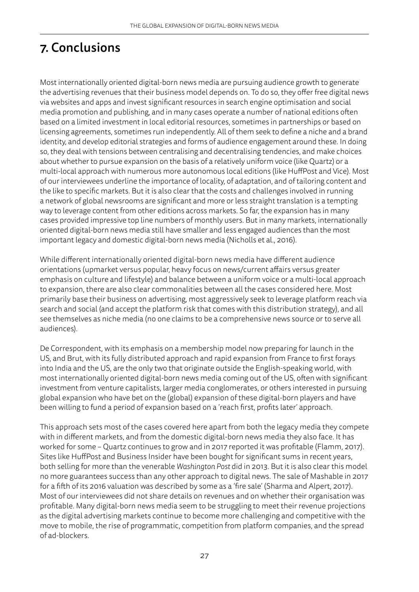# 7. Conclusions

Most internationally oriented digital-born news media are pursuing audience growth to generate the advertising revenues that their business model depends on. To do so, they offer free digital news via websites and apps and invest significant resources in search engine optimisation and social media promotion and publishing, and in many cases operate a number of national editions often based on a limited investment in local editorial resources, sometimes in partnerships or based on licensing agreements, sometimes run independently. All of them seek to define a niche and a brand identity, and develop editorial strategies and forms of audience engagement around these. In doing so, they deal with tensions between centralising and decentralising tendencies, and make choices about whether to pursue expansion on the basis of a relatively uniform voice (like Quartz) or a multi-local approach with numerous more autonomous local editions (like HuffPost and Vice). Most of our interviewees underline the importance of locality, of adaptation, and of tailoring content and the like to specific markets. But it is also clear that the costs and challenges involved in running a network of global newsrooms are significant and more or less straight translation is a tempting way to leverage content from other editions across markets. So far, the expansion has in many cases provided impressive top line numbers of monthly users. But in many markets, internationally oriented digital-born news media still have smaller and less engaged audiences than the most important legacy and domestic digital-born news media (Nicholls et al., 2016).

While different internationally oriented digital-born news media have different audience orientations (upmarket versus popular, heavy focus on news/current affairs versus greater emphasis on culture and lifestyle) and balance between a uniform voice or a multi-local approach to expansion, there are also clear commonalities between all the cases considered here. Most primarily base their business on advertising, most aggressively seek to leverage platform reach via search and social (and accept the platform risk that comes with this distribution strategy), and all see themselves as niche media (no one claims to be a comprehensive news source or to serve all audiences).

De Correspondent, with its emphasis on a membership model now preparing for launch in the US, and Brut, with its fully distributed approach and rapid expansion from France to first forays into India and the US, are the only two that originate outside the English-speaking world, with most internationally oriented digital-born news media coming out of the US, often with significant investment from venture capitalists, larger media conglomerates, or others interested in pursuing global expansion who have bet on the (global) expansion of these digital-born players and have been willing to fund a period of expansion based on a 'reach first, profits later' approach.

This approach sets most of the cases covered here apart from both the legacy media they compete with in different markets, and from the domestic digital-born news media they also face. It has worked for some – Quartz continues to grow and in 2017 reported it was profitable (Flamm, 2017). Sites like HuffPost and Business Insider have been bought for significant sums in recent years, both selling for more than the venerable *Washington Post* did in 2013. But it is also clear this model no more guarantees success than any other approach to digital news. The sale of Mashable in 2017 for a fifth of its 2016 valuation was described by some as a 'fire sale' (Sharma and Alpert, 2017). Most of our interviewees did not share details on revenues and on whether their organisation was profitable. Many digital-born news media seem to be struggling to meet their revenue projections as the digital advertising markets continue to become more challenging and competitive with the move to mobile, the rise of programmatic, competition from platform companies, and the spread of ad-blockers.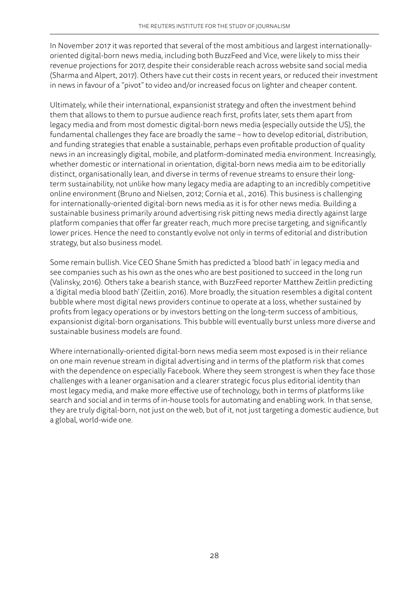In November 2017 it was reported that several of the most ambitious and largest internationallyoriented digital-born news media, including both BuzzFeed and Vice, were likely to miss their revenue projections for 2017, despite their considerable reach across website sand social media (Sharma and Alpert, 2017). Others have cut their costs in recent years, or reduced their investment in news in favour of a "pivot" to video and/or increased focus on lighter and cheaper content.

Ultimately, while their international, expansionist strategy and often the investment behind them that allows to them to pursue audience reach first, profits later, sets them apart from legacy media and from most domestic digital-born news media (especially outside the US), the fundamental challenges they face are broadly the same – how to develop editorial, distribution, and funding strategies that enable a sustainable, perhaps even profitable production of quality news in an increasingly digital, mobile, and platform-dominated media environment. Increasingly, whether domestic or international in orientation, digital-born news media aim to be editorially distinct, organisationally lean, and diverse in terms of revenue streams to ensure their longterm sustainability, not unlike how many legacy media are adapting to an incredibly competitive online environment (Bruno and Nielsen, 2012; Cornia et al., 2016). This business is challenging for internationally-oriented digital-born news media as it is for other news media. Building a sustainable business primarily around advertising risk pitting news media directly against large platform companies that offer far greater reach, much more precise targeting, and significantly lower prices. Hence the need to constantly evolve not only in terms of editorial and distribution strategy, but also business model.

Some remain bullish. Vice CEO Shane Smith has predicted a 'blood bath' in legacy media and see companies such as his own as the ones who are best positioned to succeed in the long run (Valinsky, 2016). Others take a bearish stance, with BuzzFeed reporter Matthew Zeitlin predicting a 'digital media blood bath' (Zeitlin, 2016). More broadly, the situation resembles a digital content bubble where most digital news providers continue to operate at a loss, whether sustained by profits from legacy operations or by investors betting on the long-term success of ambitious, expansionist digital-born organisations. This bubble will eventually burst unless more diverse and sustainable business models are found.

Where internationally-oriented digital-born news media seem most exposed is in their reliance on one main revenue stream in digital advertising and in terms of the platform risk that comes with the dependence on especially Facebook. Where they seem strongest is when they face those challenges with a leaner organisation and a clearer strategic focus plus editorial identity than most legacy media, and make more effective use of technology, both in terms of platforms like search and social and in terms of in-house tools for automating and enabling work. In that sense, they are truly digital-born, not just on the web, but of it, not just targeting a domestic audience, but a global, world-wide one.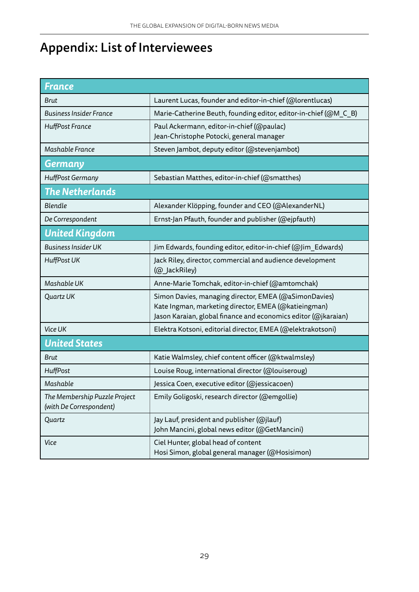# Appendix: List of Interviewees

| <b>France</b>                                            |                                                                                                                                                                                 |
|----------------------------------------------------------|---------------------------------------------------------------------------------------------------------------------------------------------------------------------------------|
| <b>Brut</b>                                              | Laurent Lucas, founder and editor-in-chief (@lorentlucas)                                                                                                                       |
| <b>Business Insider France</b>                           | Marie-Catherine Beuth, founding editor, editor-in-chief (@M C B)                                                                                                                |
| <b>HuffPost France</b>                                   | Paul Ackermann, editor-in-chief (@paulac)<br>Jean-Christophe Potocki, general manager                                                                                           |
| Mashable France                                          | Steven Jambot, deputy editor (@stevenjambot)                                                                                                                                    |
| <b>Germany</b>                                           |                                                                                                                                                                                 |
| HuffPost Germany                                         | Sebastian Matthes, editor-in-chief (@smatthes)                                                                                                                                  |
| <b>The Netherlands</b>                                   |                                                                                                                                                                                 |
| Blendle                                                  | Alexander Klöpping, founder and CEO (@AlexanderNL)                                                                                                                              |
| De Correspondent                                         | Ernst-Jan Pfauth, founder and publisher (@ejpfauth)                                                                                                                             |
| <b>United Kingdom</b>                                    |                                                                                                                                                                                 |
| <b>Business Insider UK</b>                               | Jim Edwards, founding editor, editor-in-chief (@Jim Edwards)                                                                                                                    |
| <b>HuffPost UK</b>                                       | Jack Riley, director, commercial and audience development<br>(@_JackRiley)                                                                                                      |
| Mashable UK                                              | Anne-Marie Tomchak, editor-in-chief (@amtomchak)                                                                                                                                |
| Quartz UK                                                | Simon Davies, managing director, EMEA (@aSimonDavies)<br>Kate Ingman, marketing director, EMEA (@katieingman)<br>Jason Karaian, global finance and economics editor (@jkaraian) |
| Vice UK                                                  | Elektra Kotsoni, editorial director, EMEA (@elektrakotsoni)                                                                                                                     |
| <b>United States</b>                                     |                                                                                                                                                                                 |
| <b>Brut</b>                                              | Katie Walmsley, chief content officer (@ktwalmsley)                                                                                                                             |
| HuffPost                                                 | Louise Roug, international director (@louiseroug)                                                                                                                               |
| Mashable                                                 | Jessica Coen, executive editor (@jessicacoen)                                                                                                                                   |
| The Membership Puzzle Project<br>(with De Correspondent) | Emily Goligoski, research director (@emgollie)                                                                                                                                  |
| Quartz                                                   | Jay Lauf, president and publisher (@jlauf)<br>John Mancini, global news editor (@GetMancini)                                                                                    |
| Vice                                                     | Ciel Hunter, global head of content<br>Hosi Simon, global general manager (@Hosisimon)                                                                                          |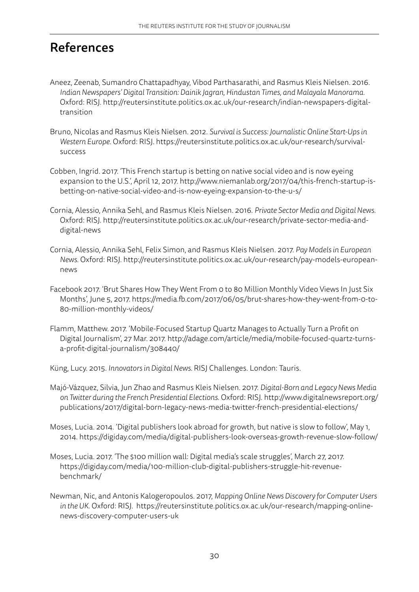### References

- Aneez, Zeenab, Sumandro Chattapadhyay, Vibod Parthasarathi, and Rasmus Kleis Nielsen. 2016. *Indian Newspapers' Digital Transition: Dainik Jagran, Hindustan Times, and Malayala Manorama.* Oxford: RISJ. [http://reutersinstitute.politics.ox.ac.uk/our-research/indian-newspapers-digital](http://reutersinstitute.politics.ox.ac.uk/our-research/indian-newspapers-digital-transition)[transition](http://reutersinstitute.politics.ox.ac.uk/our-research/indian-newspapers-digital-transition)
- Bruno, Nicolas and Rasmus Kleis Nielsen. 2012. *Survival is Success: Journalistic Online Start-Ups in Western Europe.* Oxford: RISJ. [https://reutersinstitute.politics.ox.ac.uk/our-research/survival](https://reutersinstitute.politics.ox.ac.uk/our-research/survival-success)[success](https://reutersinstitute.politics.ox.ac.uk/our-research/survival-success)
- Cobben, Ingrid. 2017. 'This French startup is betting on native social video and is now eyeing expansion to the U.S.', April 12, 2017. [http://www.niemanlab.org/2017/04/this-french-startup-is](http://www.niemanlab.org/2017/04/this-french-startup-is-betting-on-native-social-video-and-is-now-eyeing-expansion-to-the-u-s/)[betting-on-native-social-video-and-is-now-eyeing-expansion-to-the-u-s/](http://www.niemanlab.org/2017/04/this-french-startup-is-betting-on-native-social-video-and-is-now-eyeing-expansion-to-the-u-s/)
- Cornia, Alessio, Annika Sehl, and Rasmus Kleis Nielsen. 2016. *Private Sector Media and Digital News.* Oxford: RISJ. http://reutersinstitute.politics.ox.ac.uk/our-research/private-sector-media-anddigital-news
- Cornia, Alessio, Annika Sehl, Felix Simon, and Rasmus Kleis Nielsen. 2017. *Pay Models in European News.* Oxford: RISJ. [http://reutersinstitute.politics.ox.ac.uk/our-research/pay-models-european](http://reutersinstitute.politics.ox.ac.uk/our-research/pay-models-european-news)[news](http://reutersinstitute.politics.ox.ac.uk/our-research/pay-models-european-news)
- Facebook 2017. 'Brut Shares How They Went From 0 to 80 Million Monthly Video Views In Just Six Months', June 5, 2017. [https://media.fb.com/2017/06/05/brut-shares-how-they-went-from-0-to-](https://media.fb.com/2017/06/05/brut-shares-how-they-went-from-0-to-80-million-monthly-videos/)[80-million-monthly-videos/](https://media.fb.com/2017/06/05/brut-shares-how-they-went-from-0-to-80-million-monthly-videos/)
- Flamm, Matthew. 2017. 'Mobile-Focused Startup Quartz Manages to Actually Turn a Profit on Digital Journalism', 27 Mar. 2017. [http://adage.com/article/media/mobile-focused-quartz-turns](http://adage.com/article/media/mobile-focused-quartz-turns-a-profit-digital-journalism/308440/)[a-profit-digital-journalism/308440/](http://adage.com/article/media/mobile-focused-quartz-turns-a-profit-digital-journalism/308440/)
- Küng, Lucy. 2015. *Innovators in Digital News.* RISJ Challenges. London: Tauris.
- Majó-Vázquez, Silvia, Jun Zhao and Rasmus Kleis Nielsen. 2017. *Digital-Born and Legacy News Media on Twitter during the French Presidential Elections.* Oxford: RISJ. [http://www.digitalnewsreport.org/](http://www.digitalnewsreport.org/publications/2017/digital-born-legacy-news-media-twitter-french-presidential-elections/) [publications/2017/digital-born-legacy-news-media-twitter-french-presidential-elections/](http://www.digitalnewsreport.org/publications/2017/digital-born-legacy-news-media-twitter-french-presidential-elections/)
- Moses, Lucia. 2014. 'Digital publishers look abroad for growth, but native is slow to follow', May 1, 2014. <https://digiday.com/media/digital-publishers-look-overseas-growth-revenue-slow-follow/>
- Moses, Lucia. 2017. 'The \$100 million wall: Digital media's scale struggles', March 27, 2017. [https://digiday.com/media/100-million-club-digital-publishers-struggle-hit-revenue](https://digiday.com/media/100-million-club-digital-publishers-struggle-hit-revenue-benchmark/)[benchmark/](https://digiday.com/media/100-million-club-digital-publishers-struggle-hit-revenue-benchmark/)
- Newman, Nic, and Antonis Kalogeropoulos. 2017, *Mapping Online News Discovery for Computer Users in the UK.* Oxford: RISJ. https://reutersinstitute.politics.ox.ac.uk/our-research/mapping-onlinenews-discovery-computer-users-uk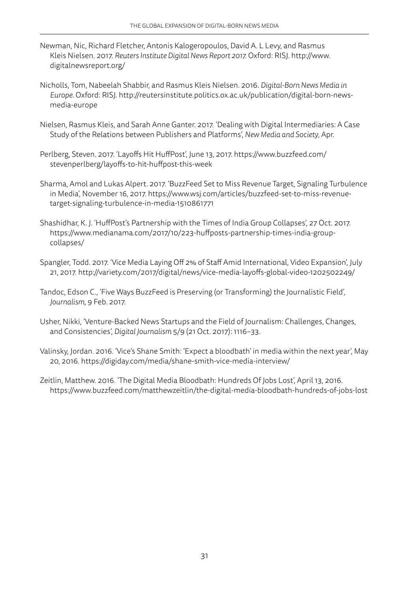- Newman, Nic, Richard Fletcher, Antonis Kalogeropoulos, David A. L Levy, and Rasmus Kleis Nielsen. 2017. *Reuters Institute Digital News Report 2017.* Oxford: RISJ. [http://www.](http://www.digitalnewsreport.org/) [digitalnewsreport.org/](http://www.digitalnewsreport.org/)
- Nicholls, Tom, Nabeelah Shabbir, and Rasmus Kleis Nielsen. 2016. *Digital-Born News Media in Europe.* Oxford: RISJ. http://reutersinstitute.politics.ox.ac.uk/publication/digital-born-newsmedia-europe
- Nielsen, Rasmus Kleis, and Sarah Anne Ganter. 2017. 'Dealing with Digital Intermediaries: A Case Study of the Relations between Publishers and Platforms', *New Media and Society*, Apr.
- Perlberg, Steven. 2017. 'Layoffs Hit HuffPost', June 13, 2017. [https://www.buzzfeed.com/](https://www.buzzfeed.com/stevenperlberg/layoffs-to-hit-huffpost-this-week) [stevenperlberg/layoffs-to-hit-huffpost-this-week](https://www.buzzfeed.com/stevenperlberg/layoffs-to-hit-huffpost-this-week)
- Sharma, Amol and Lukas Alpert. 2017. 'BuzzFeed Set to Miss Revenue Target, Signaling Turbulence in Media', November 16, 2017. [https://www.wsj.com/articles/buzzfeed-set-to-miss-revenue](https://www.wsj.com/articles/buzzfeed-set-to-miss-revenue-target-signaling-turbulence-in-media-1510861771)[target-signaling-turbulence-in-media-1510861771](https://www.wsj.com/articles/buzzfeed-set-to-miss-revenue-target-signaling-turbulence-in-media-1510861771)
- Shashidhar, K. J. 'HuffPost's Partnership with the Times of India Group Collapses', 27 Oct. 2017. [https://www.medianama.com/2017/10/223-huffposts-partnership-times-india-group](https://www.medianama.com/2017/10/223-huffposts-partnership-times-india-group-collapses/)[collapses/](https://www.medianama.com/2017/10/223-huffposts-partnership-times-india-group-collapses/)
- Spangler, Todd. 2017. 'Vice Media Laying Off 2% of Staff Amid International, Video Expansion', July 21, 2017.<http://variety.com/2017/digital/news/vice-media-layoffs-global-video-1202502249/>
- Tandoc, Edson C., 'Five Ways BuzzFeed is Preserving (or Transforming) the Journalistic Field', *Journalism*, 9 Feb. 2017.
- Usher, Nikki, 'Venture-Backed News Startups and the Field of Journalism: Challenges, Changes, and Consistencies', *Digital Journalism* 5/9 (21 Oct. 2017): 1116–33.
- Valinsky, Jordan. 2016. 'Vice's Shane Smith: 'Expect a bloodbath' in media within the next year', May 20, 2016.<https://digiday.com/media/shane-smith-vice-media-interview/>
- Zeitlin, Matthew. 2016. 'The Digital Media Bloodbath: Hundreds Of Jobs Lost', April 13, 2016. <https://www.buzzfeed.com/matthewzeitlin/the-digital-media-bloodbath-hundreds-of-jobs-lost>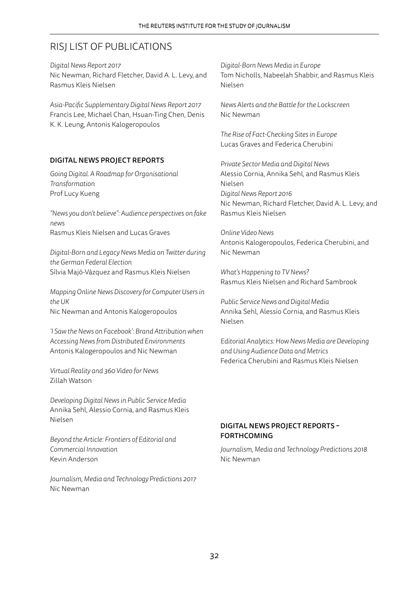### RISJ LIST OF PUBLICATIONS

*Digital News Report 2017* Nic Newman, Richard Fletcher, David A. L. Levy, and Rasmus Kleis Nielsen

*Asia-Pacific Supplementary Digital News Report 2017* Francis Lee, Michael Chan, Hsuan-Ting Chen, Denis K. K. Leung, Antonis Kalogeropoulos

#### DIGITAL NEWS PROJECT REPORTS

*Going Digital. A Roadmap for Organisational Transformation* Prof Lucy Kueng

*"News you don't believe": Audience perspectives on fake news* Rasmus Kleis Nielsen and Lucas Graves

*Digital-Born and Legacy News Media on Twitter during the German Federal Election* Sílvia Majó-Vázquez and Rasmus Kleis Nielsen

*Mapping Online News Discovery for Computer Users in the UK* Nic Newman and Antonis Kalogeropoulos

*'I Saw the News on Facebook': Brand Attribution when Accessing News from Distributed Environments* Antonis Kalogeropoulos and Nic Newman

*Virtual Reality and 360 Video for News* Zillah Watson

*Developing Digital News in Public Service Media* Annika Sehl, Alessio Cornia, and Rasmus Kleis Nielsen

*Beyond the Article: Frontiers of Editorial and Commercial Innovation* Kevin Anderson

*Journalism, Media and Technology Predictions 2017* Nic Newman

*Digital-Born News Media in Europe* Tom Nicholls, Nabeelah Shabbir, and Rasmus Kleis Nielsen

*News Alerts and the Battle for the Lockscreen* Nic Newman

*The Rise of Fact-Checking Sites in Europe* Lucas Graves and Federica Cherubini

*Private Sector Media and Digital News* Alessio Cornia, Annika Sehl, and Rasmus Kleis Nielsen *Digital News Report 2016* Nic Newman, Richard Fletcher, David A. L. Levy, and Rasmus Kleis Nielsen

*Online Video News* Antonis Kalogeropoulos, Federica Cherubini, and Nic Newman

*What's Happening to TV News?* Rasmus Kleis Nielsen and Richard Sambrook

*Public Service News and Digital Media*  Annika Sehl, Alessio Cornia, and Rasmus Kleis Nielsen

*Editorial Analytics: How News Media are Developing and Using Audience Data and Metrics*  Federica Cherubini and Rasmus Kleis Nielsen

#### DIGITAL NEWS PROJECT REPORTS – FORTHCOMING

*Journalism, Media and Technology Predictions 2018* Nic Newman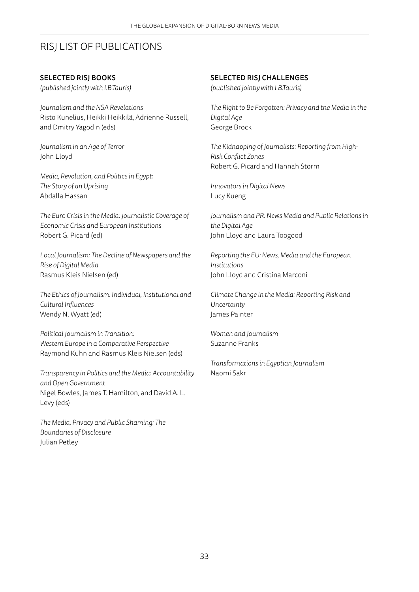### RISJ LIST OF PUBLICATIONS

#### SELECTED RISJ BOOKS

*(published jointly with I.B.Tauris)*

*Journalism and the NSA Revelations* Risto Kunelius, Heikki Heikkilä, Adrienne Russell, and Dmitry Yagodin (eds)

*Journalism in an Age of Terror*  John Lloyd

*Media, Revolution, and Politics in Egypt: The Story of an Uprising* Abdalla Hassan

*The Euro Crisis in the Media: Journalistic Coverage of Economic Crisis and European Institutions*  Robert G. Picard (ed)

*Local Journalism: The Decline of Newspapers and the Rise of Digital Media* Rasmus Kleis Nielsen (ed)

*The Ethics of Journalism: Individual, Institutional and Cultural Influences* Wendy N. Wyatt (ed)

*Political Journalism in Transition: Western Europe in a Comparative Perspective* Raymond Kuhn and Rasmus Kleis Nielsen (eds)

*Transparency in Politics and the Media: Accountability and Open Government* Nigel Bowles, James T. Hamilton, and David A. L. Levy (eds)

*The Media, Privacy and Public Shaming: The Boundaries of Disclosure* Julian Petley

#### SELECTED RISJ CHALLENGES

*(published jointly with I.B.Tauris)*

*The Right to Be Forgotten: Privacy and the Media in the Digital Age* George Brock

*The Kidnapping of Journalists: Reporting from High-Risk Conflict Zones* Robert G. Picard and Hannah Storm

*Innovators in Digital News* Lucy Kueng

*Journalism and PR: News Media and Public Relations in the Digital Age* John Lloyd and Laura Toogood

*Reporting the EU: News, Media and the European Institutions* John Lloyd and Cristina Marconi

*Climate Change in the Media: Reporting Risk and Uncertainty* James Painter

*Women and Journalism* Suzanne Franks

*Transformations in Egyptian Journalism* Naomi Sakr